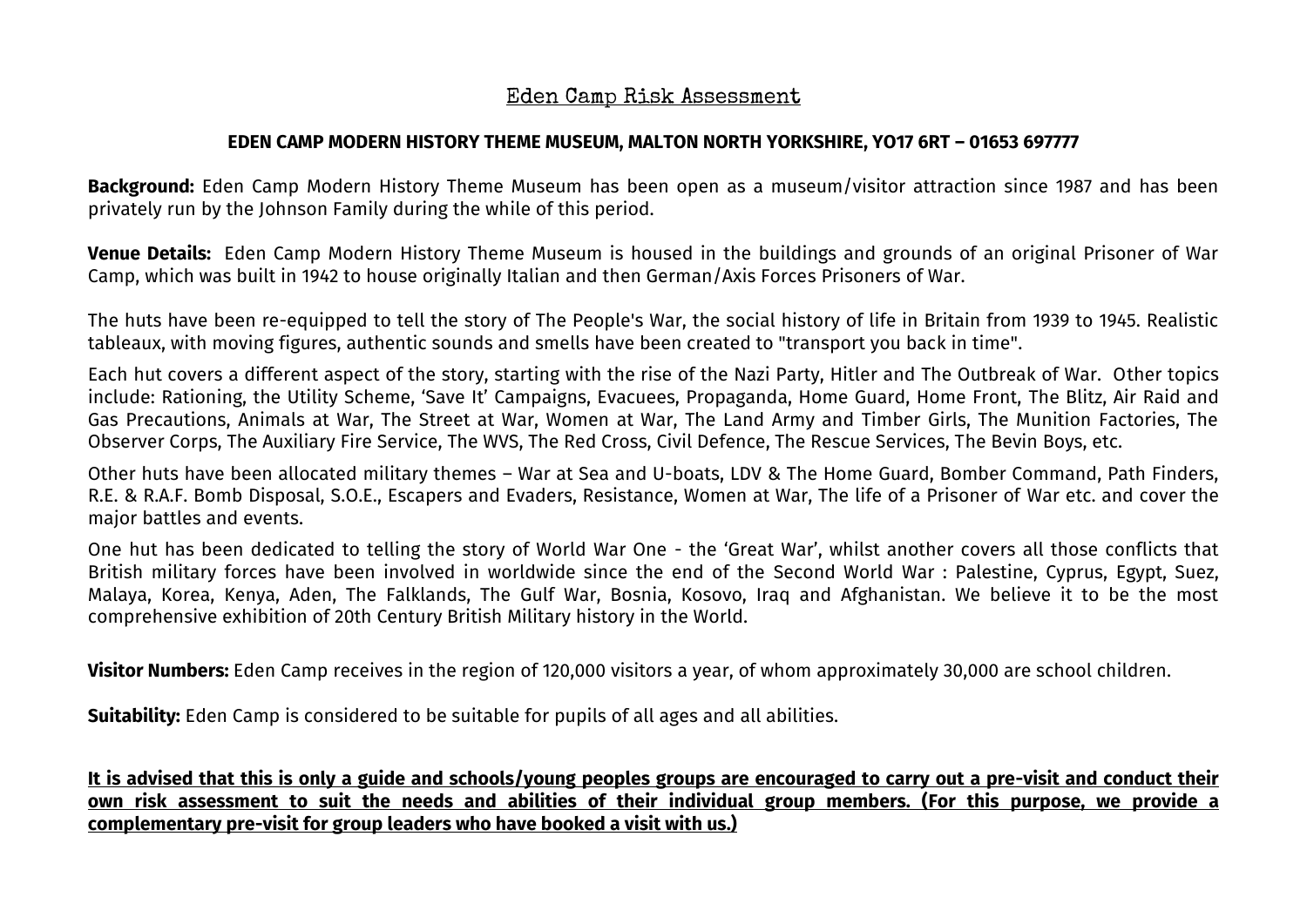## Eden Camp Risk Assessment

## **EDEN CAMP MODERN HISTORY THEME MUSEUM, MALTON NORTH YORKSHIRE, YO17 6RT – 01653 697777**

**Background:** Eden Camp Modern History Theme Museum has been open as a museum/visitor attraction since 1987 and has been privately run by the Johnson Family during the while of this period.

**Venue Details:** Eden Camp Modern History Theme Museum is housed in the buildings and grounds of an original Prisoner of War Camp, which was built in 1942 to house originally Italian and then German/Axis Forces Prisoners of War.

The huts have been re-equipped to tell the story of The People's War, the social history of life in Britain from 1939 to 1945. Realistic tableaux, with moving figures, authentic sounds and smells have been created to "transport you back in time".

Each hut covers a different aspect of the story, starting with the rise of the Nazi Party, Hitler and The Outbreak of War. Other topics include: Rationing, the Utility Scheme, 'Save It' Campaigns, Evacuees, Propaganda, Home Guard, Home Front, The Blitz, Air Raid and Gas Precautions, Animals at War, The Street at War, Women at War, The Land Army and Timber Girls, The Munition Factories, The Observer Corps, The Auxiliary Fire Service, The WVS, The Red Cross, Civil Defence, The Rescue Services, The Bevin Boys, etc.

Other huts have been allocated military themes – War at Sea and U-boats, LDV & The Home Guard, Bomber Command, Path Finders, R.E. & R.A.F. Bomb Disposal, S.O.E., Escapers and Evaders, Resistance, Women at War, The life of a Prisoner of War etc. and cover the major battles and events.

One hut has been dedicated to telling the story of World War One - the 'Great War', whilst another covers all those conflicts that British military forces have been involved in worldwide since the end of the Second World War : Palestine, Cyprus, Egypt, Suez, Malaya, Korea, Kenya, Aden, The Falklands, The Gulf War, Bosnia, Kosovo, Iraq and Afghanistan. We believe it to be the most comprehensive exhibition of 20th Century British Military history in the World.

**Visitor Numbers:** Eden Camp receives in the region of 120,000 visitors a year, of whom approximately 30,000 are school children.

**Suitability:** Eden Camp is considered to be suitable for pupils of all ages and all abilities.

**It is advised that this is only a guide and schools/young peoples groups are encouraged to carry out a pre-visit and conduct their own risk assessment to suit the needs and abilities of their individual group members. (For this purpose, we provide a complementary pre-visit for group leaders who have booked a visit with us.)**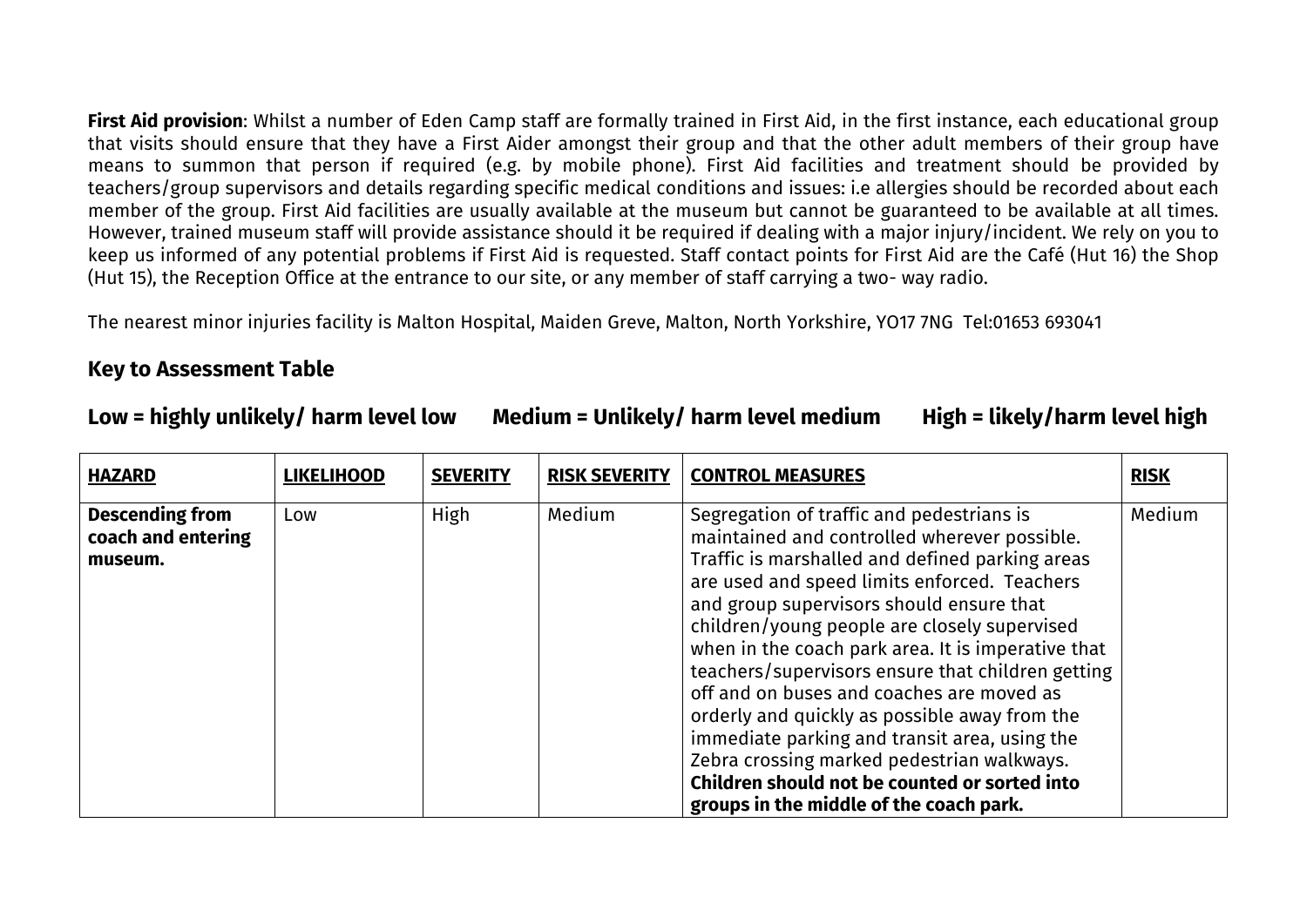**First Aid provision**: Whilst a number of Eden Camp staff are formally trained in First Aid, in the first instance, each educational group that visits should ensure that they have a First Aider amongst their group and that the other adult members of their group have means to summon that person if required (e.g. by mobile phone). First Aid facilities and treatment should be provided by teachers/group supervisors and details regarding specific medical conditions and issues: i.e allergies should be recorded about each member of the group. First Aid facilities are usually available at the museum but cannot be guaranteed to be available at all times. However, trained museum staff will provide assistance should it be required if dealing with a major injury/incident. We rely on you to keep us informed of any potential problems if First Aid is requested. Staff contact points for First Aid are the Café (Hut 16) the Shop (Hut 15), the Reception Office at the entrance to our site, or any member of staff carrying a two- way radio.

The nearest minor injuries facility is Malton Hospital, Maiden Greve, Malton, North Yorkshire, YO17 7NG Tel:01653 693041

## **Key to Assessment Table**

## **Low = highly unlikely/ harm level low Medium = Unlikely/ harm level medium High = likely/harm level high**

| <b>HAZARD</b>                                           | <b>LIKELIHOOD</b> | <b>SEVERITY</b> | <b>RISK SEVERITY</b> | <b>CONTROL MEASURES</b>                                                                                                                                                                                                                                                                                                                                                                                                                                                                                                                                                                                                                                                                      | <b>RISK</b> |
|---------------------------------------------------------|-------------------|-----------------|----------------------|----------------------------------------------------------------------------------------------------------------------------------------------------------------------------------------------------------------------------------------------------------------------------------------------------------------------------------------------------------------------------------------------------------------------------------------------------------------------------------------------------------------------------------------------------------------------------------------------------------------------------------------------------------------------------------------------|-------------|
| <b>Descending from</b><br>coach and entering<br>museum. | Low               | High            | Medium               | Segregation of traffic and pedestrians is<br>maintained and controlled wherever possible.<br>Traffic is marshalled and defined parking areas<br>are used and speed limits enforced. Teachers<br>and group supervisors should ensure that<br>children/young people are closely supervised<br>when in the coach park area. It is imperative that<br>teachers/supervisors ensure that children getting<br>off and on buses and coaches are moved as<br>orderly and quickly as possible away from the<br>immediate parking and transit area, using the<br>Zebra crossing marked pedestrian walkways.<br>Children should not be counted or sorted into<br>groups in the middle of the coach park. | Medium      |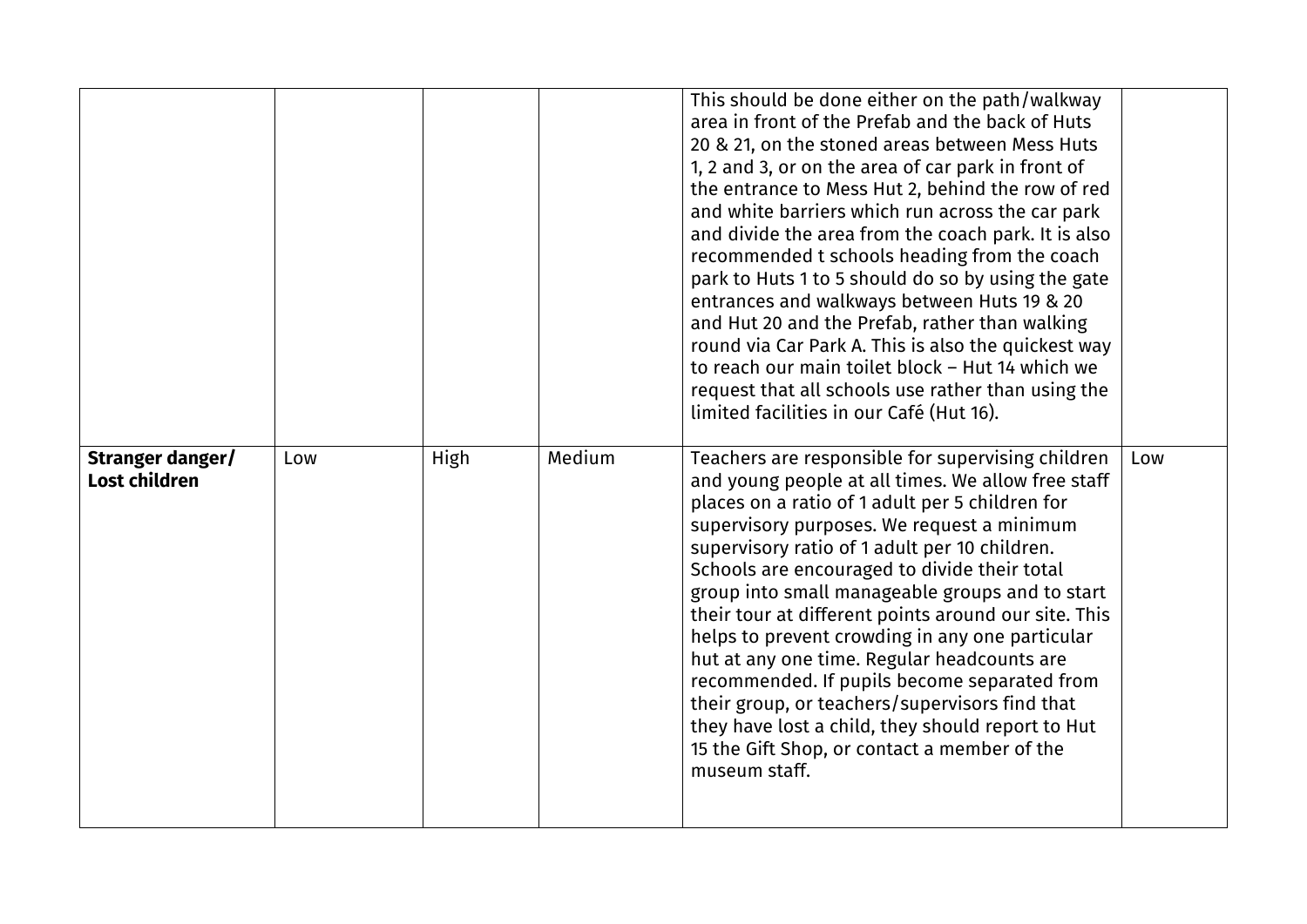|                                          |     |             |        | This should be done either on the path/walkway<br>area in front of the Prefab and the back of Huts<br>20 & 21, on the stoned areas between Mess Huts<br>1, 2 and 3, or on the area of car park in front of<br>the entrance to Mess Hut 2, behind the row of red<br>and white barriers which run across the car park<br>and divide the area from the coach park. It is also<br>recommended t schools heading from the coach<br>park to Huts 1 to 5 should do so by using the gate<br>entrances and walkways between Huts 19 & 20<br>and Hut 20 and the Prefab, rather than walking<br>round via Car Park A. This is also the quickest way<br>to reach our main toilet block - Hut 14 which we<br>request that all schools use rather than using the<br>limited facilities in our Café (Hut 16). |     |
|------------------------------------------|-----|-------------|--------|------------------------------------------------------------------------------------------------------------------------------------------------------------------------------------------------------------------------------------------------------------------------------------------------------------------------------------------------------------------------------------------------------------------------------------------------------------------------------------------------------------------------------------------------------------------------------------------------------------------------------------------------------------------------------------------------------------------------------------------------------------------------------------------------|-----|
| Stranger danger/<br><b>Lost children</b> | Low | <b>High</b> | Medium | Teachers are responsible for supervising children<br>and young people at all times. We allow free staff<br>places on a ratio of 1 adult per 5 children for<br>supervisory purposes. We request a minimum<br>supervisory ratio of 1 adult per 10 children.<br>Schools are encouraged to divide their total<br>group into small manageable groups and to start<br>their tour at different points around our site. This<br>helps to prevent crowding in any one particular<br>hut at any one time. Regular headcounts are<br>recommended. If pupils become separated from<br>their group, or teachers/supervisors find that<br>they have lost a child, they should report to Hut<br>15 the Gift Shop, or contact a member of the<br>museum staff.                                                 | Low |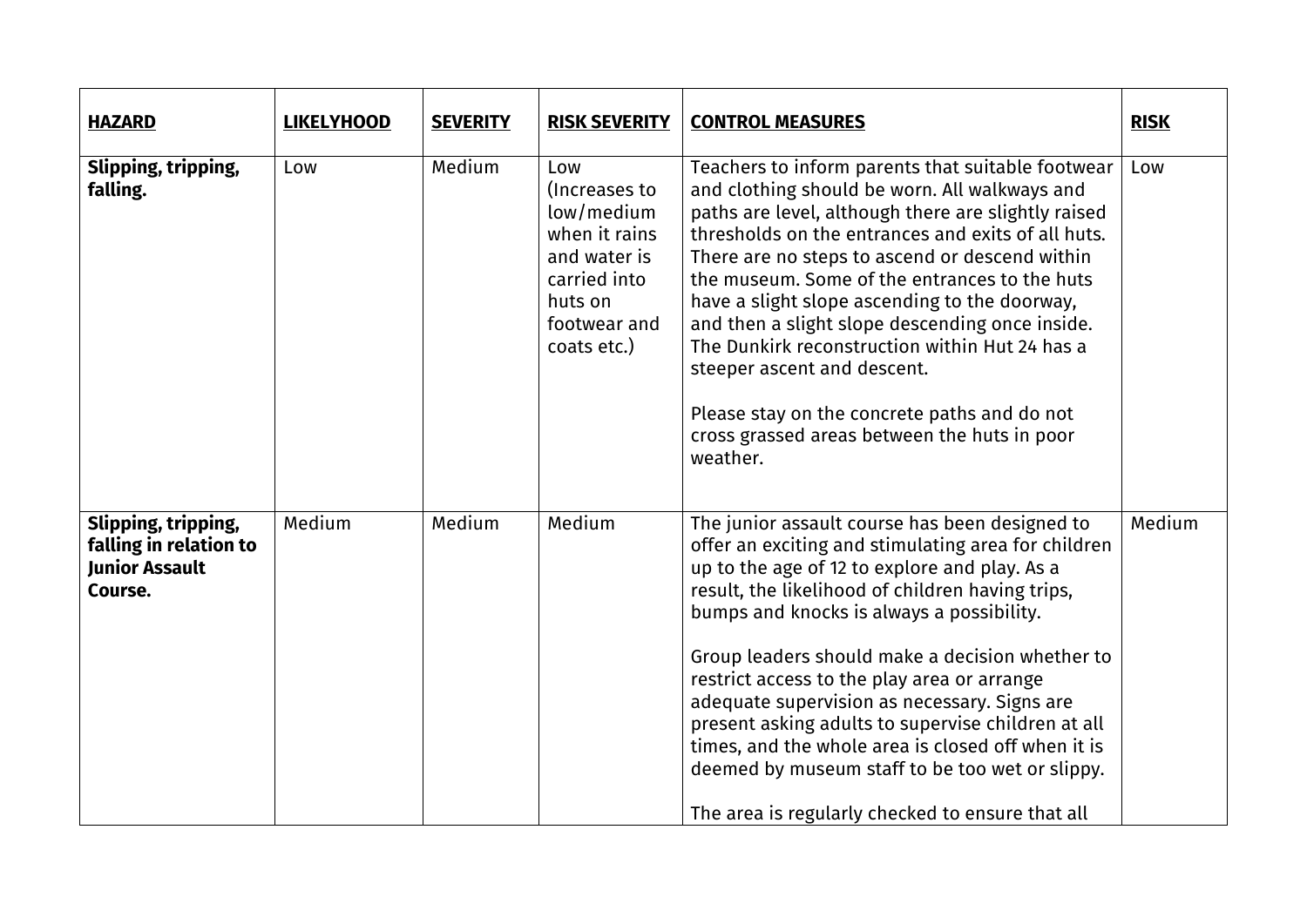| <b>HAZARD</b>                                                                     | <b>LIKELYHOOD</b> | <b>SEVERITY</b> | <b>RISK SEVERITY</b>                                                                                                          | <b>CONTROL MEASURES</b>                                                                                                                                                                                                                                                                                                                                                                                                                                                                                                                                                                                                      | <b>RISK</b> |
|-----------------------------------------------------------------------------------|-------------------|-----------------|-------------------------------------------------------------------------------------------------------------------------------|------------------------------------------------------------------------------------------------------------------------------------------------------------------------------------------------------------------------------------------------------------------------------------------------------------------------------------------------------------------------------------------------------------------------------------------------------------------------------------------------------------------------------------------------------------------------------------------------------------------------------|-------------|
| Slipping, tripping,<br>falling.                                                   | Low               | Medium          | Low<br>(Increases to<br>low/medium<br>when it rains<br>and water is<br>carried into<br>huts on<br>footwear and<br>coats etc.) | Teachers to inform parents that suitable footwear<br>and clothing should be worn. All walkways and<br>paths are level, although there are slightly raised<br>thresholds on the entrances and exits of all huts.<br>There are no steps to ascend or descend within<br>the museum. Some of the entrances to the huts<br>have a slight slope ascending to the doorway,<br>and then a slight slope descending once inside.<br>The Dunkirk reconstruction within Hut 24 has a<br>steeper ascent and descent.<br>Please stay on the concrete paths and do not<br>cross grassed areas between the huts in poor<br>weather.          | Low         |
| Slipping, tripping,<br>falling in relation to<br><b>Junior Assault</b><br>Course. | Medium            | Medium          | Medium                                                                                                                        | The junior assault course has been designed to<br>offer an exciting and stimulating area for children<br>up to the age of 12 to explore and play. As a<br>result, the likelihood of children having trips,<br>bumps and knocks is always a possibility.<br>Group leaders should make a decision whether to<br>restrict access to the play area or arrange<br>adequate supervision as necessary. Signs are<br>present asking adults to supervise children at all<br>times, and the whole area is closed off when it is<br>deemed by museum staff to be too wet or slippy.<br>The area is regularly checked to ensure that all | Medium      |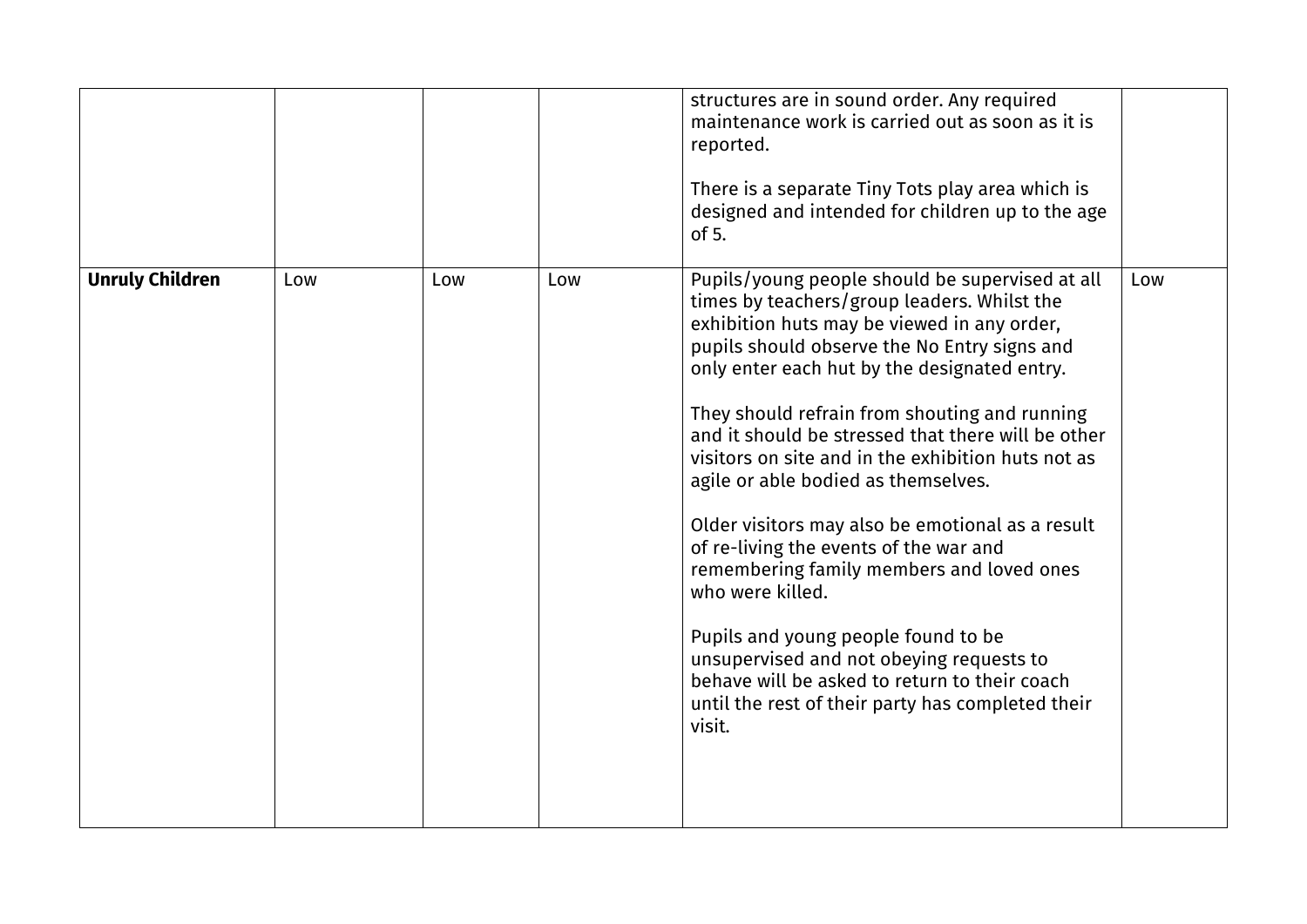|                        |     |     |     | structures are in sound order. Any required<br>maintenance work is carried out as soon as it is<br>reported.<br>There is a separate Tiny Tots play area which is<br>designed and intended for children up to the age<br>of $5.$                                                                                                                                                                                                                                                                                                                                                                                                                                                                                                                                                                                     |     |
|------------------------|-----|-----|-----|---------------------------------------------------------------------------------------------------------------------------------------------------------------------------------------------------------------------------------------------------------------------------------------------------------------------------------------------------------------------------------------------------------------------------------------------------------------------------------------------------------------------------------------------------------------------------------------------------------------------------------------------------------------------------------------------------------------------------------------------------------------------------------------------------------------------|-----|
| <b>Unruly Children</b> | Low | Low | Low | Pupils/young people should be supervised at all<br>times by teachers/group leaders. Whilst the<br>exhibition huts may be viewed in any order,<br>pupils should observe the No Entry signs and<br>only enter each hut by the designated entry.<br>They should refrain from shouting and running<br>and it should be stressed that there will be other<br>visitors on site and in the exhibition huts not as<br>agile or able bodied as themselves.<br>Older visitors may also be emotional as a result<br>of re-living the events of the war and<br>remembering family members and loved ones<br>who were killed.<br>Pupils and young people found to be<br>unsupervised and not obeying requests to<br>behave will be asked to return to their coach<br>until the rest of their party has completed their<br>visit. | Low |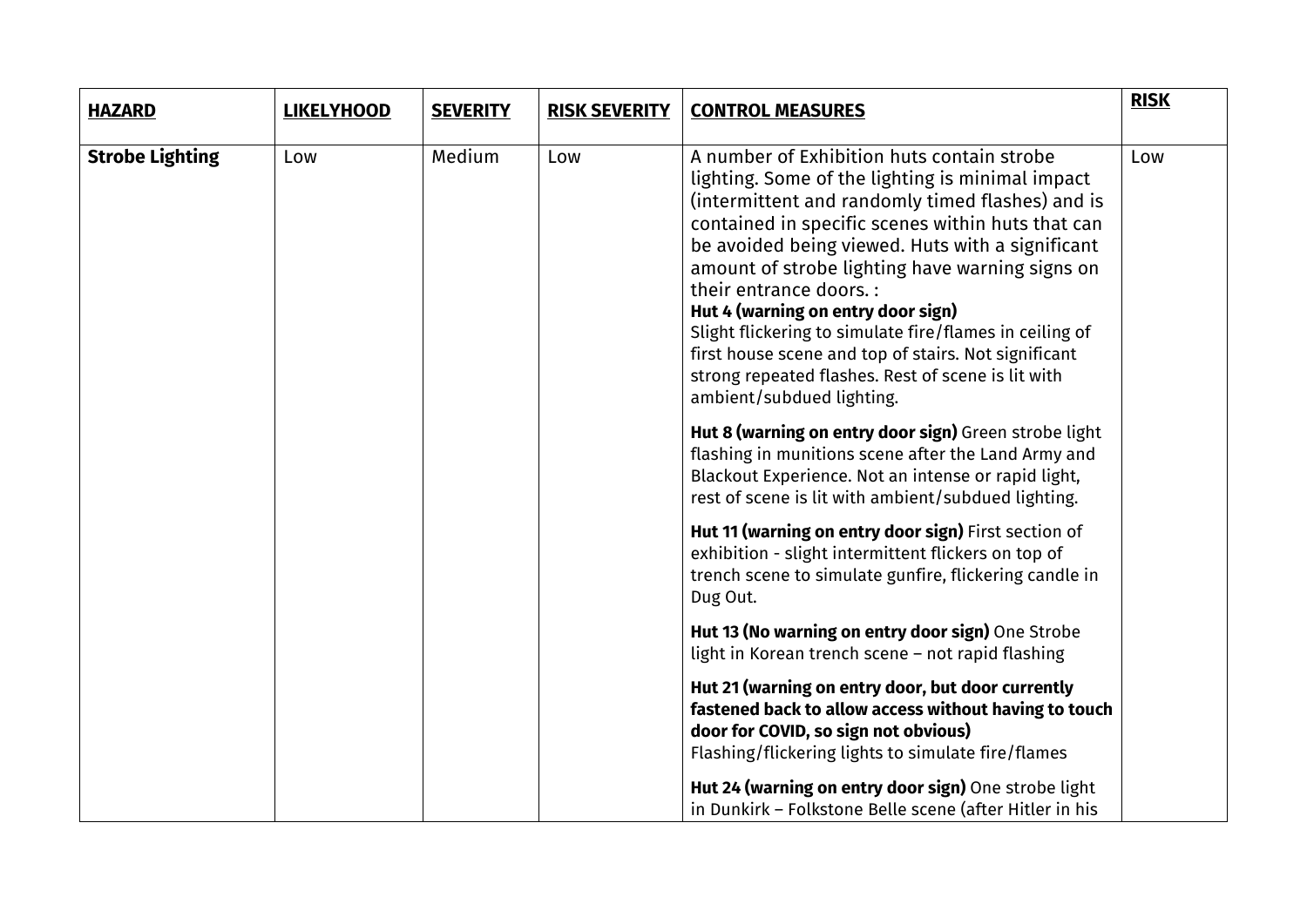| <b>HAZARD</b>          | <b>LIKELYHOOD</b> | <b>SEVERITY</b> | <b>RISK SEVERITY</b> | <b>CONTROL MEASURES</b>                                                                                                                                                                                                                                                                                                                                                                                                                                                                                                                                                               | <b>RISK</b> |
|------------------------|-------------------|-----------------|----------------------|---------------------------------------------------------------------------------------------------------------------------------------------------------------------------------------------------------------------------------------------------------------------------------------------------------------------------------------------------------------------------------------------------------------------------------------------------------------------------------------------------------------------------------------------------------------------------------------|-------------|
| <b>Strobe Lighting</b> | Low               | Medium          | Low                  | A number of Exhibition huts contain strobe<br>lighting. Some of the lighting is minimal impact<br>(intermittent and randomly timed flashes) and is<br>contained in specific scenes within huts that can<br>be avoided being viewed. Huts with a significant<br>amount of strobe lighting have warning signs on<br>their entrance doors. :<br>Hut 4 (warning on entry door sign)<br>Slight flickering to simulate fire/flames in ceiling of<br>first house scene and top of stairs. Not significant<br>strong repeated flashes. Rest of scene is lit with<br>ambient/subdued lighting. | Low         |
|                        |                   |                 |                      | Hut 8 (warning on entry door sign) Green strobe light<br>flashing in munitions scene after the Land Army and<br>Blackout Experience. Not an intense or rapid light,<br>rest of scene is lit with ambient/subdued lighting.                                                                                                                                                                                                                                                                                                                                                            |             |
|                        |                   |                 |                      | Hut 11 (warning on entry door sign) First section of<br>exhibition - slight intermittent flickers on top of<br>trench scene to simulate gunfire, flickering candle in<br>Dug Out.                                                                                                                                                                                                                                                                                                                                                                                                     |             |
|                        |                   |                 |                      | Hut 13 (No warning on entry door sign) One Strobe<br>light in Korean trench scene - not rapid flashing                                                                                                                                                                                                                                                                                                                                                                                                                                                                                |             |
|                        |                   |                 |                      | Hut 21 (warning on entry door, but door currently<br>fastened back to allow access without having to touch<br>door for COVID, so sign not obvious)<br>Flashing/flickering lights to simulate fire/flames                                                                                                                                                                                                                                                                                                                                                                              |             |
|                        |                   |                 |                      | Hut 24 (warning on entry door sign) One strobe light<br>in Dunkirk - Folkstone Belle scene (after Hitler in his                                                                                                                                                                                                                                                                                                                                                                                                                                                                       |             |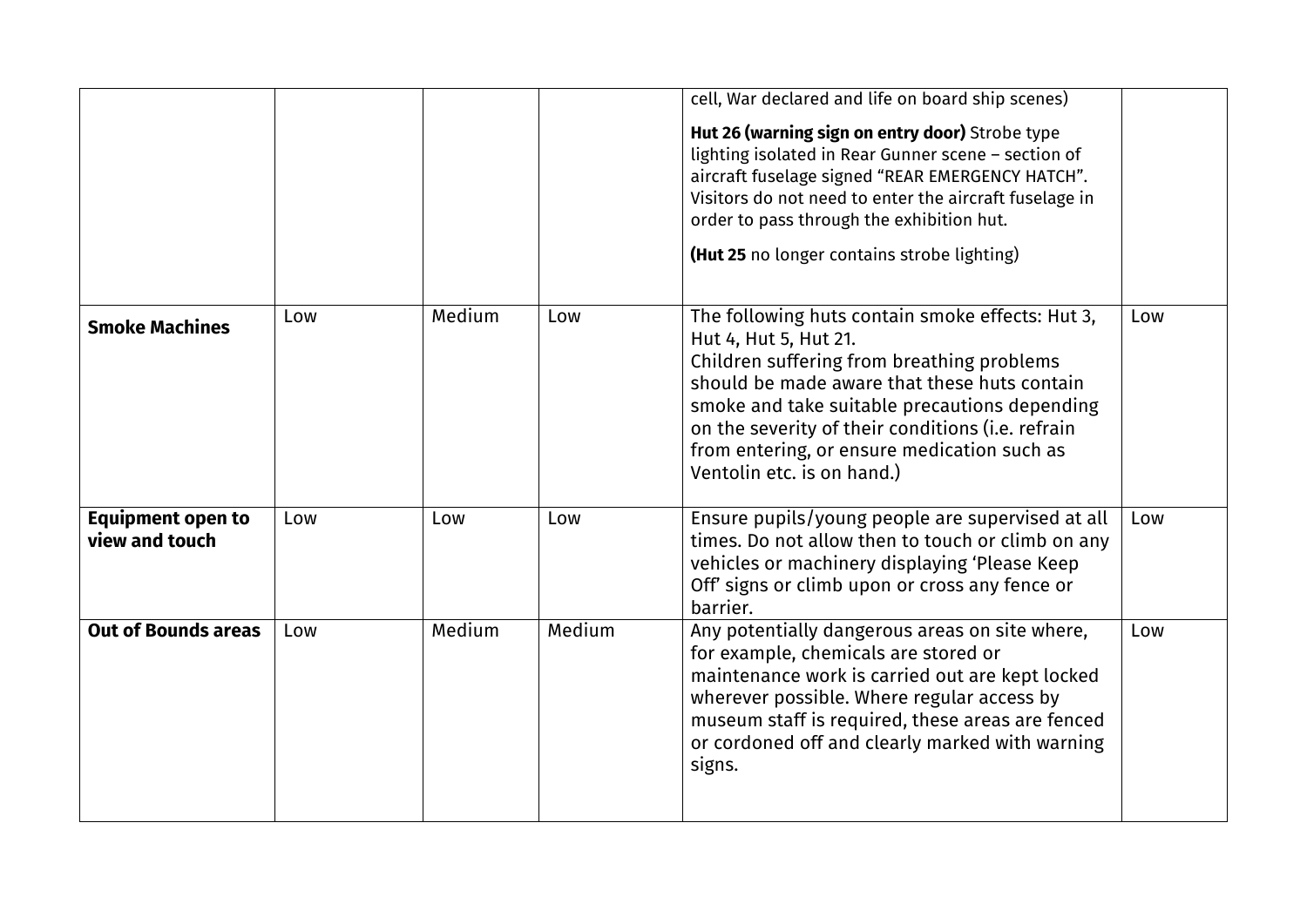|                                            |     |        |        | cell, War declared and life on board ship scenes)<br>Hut 26 (warning sign on entry door) Strobe type<br>lighting isolated in Rear Gunner scene - section of<br>aircraft fuselage signed "REAR EMERGENCY HATCH".<br>Visitors do not need to enter the aircraft fuselage in<br>order to pass through the exhibition hut.<br>(Hut 25 no longer contains strobe lighting) |     |
|--------------------------------------------|-----|--------|--------|-----------------------------------------------------------------------------------------------------------------------------------------------------------------------------------------------------------------------------------------------------------------------------------------------------------------------------------------------------------------------|-----|
| <b>Smoke Machines</b>                      | Low | Medium | Low    | The following huts contain smoke effects: Hut 3,<br>Hut 4, Hut 5, Hut 21.<br>Children suffering from breathing problems<br>should be made aware that these huts contain<br>smoke and take suitable precautions depending<br>on the severity of their conditions (i.e. refrain<br>from entering, or ensure medication such as<br>Ventolin etc. is on hand.)            | Low |
| <b>Equipment open to</b><br>view and touch | Low | Low    | Low    | Ensure pupils/young people are supervised at all<br>times. Do not allow then to touch or climb on any<br>vehicles or machinery displaying 'Please Keep<br>Off' signs or climb upon or cross any fence or<br>barrier.                                                                                                                                                  | Low |
| <b>Out of Bounds areas</b>                 | Low | Medium | Medium | Any potentially dangerous areas on site where,<br>for example, chemicals are stored or<br>maintenance work is carried out are kept locked<br>wherever possible. Where regular access by<br>museum staff is required, these areas are fenced<br>or cordoned off and clearly marked with warning<br>signs.                                                              | Low |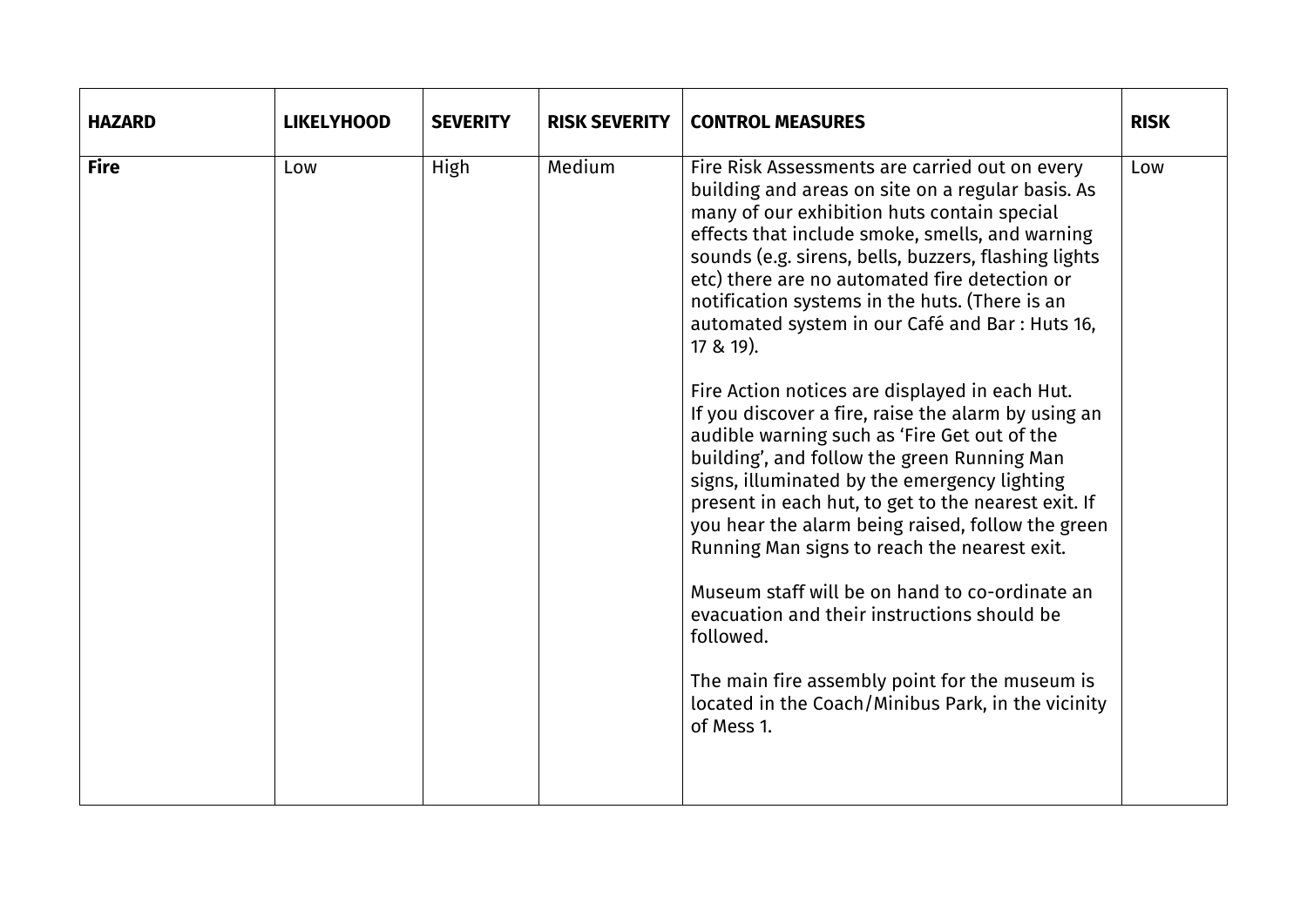| <b>HAZARD</b> | <b>LIKELYHOOD</b> | <b>SEVERITY</b> | <b>RISK SEVERITY</b> | <b>CONTROL MEASURES</b>                                                                                                                                                                                                                                                                                                                                                                                                                                                                                                                                                                                                                                                                                                                                                                                                                                                                                                                                                                                                                                                                  | <b>RISK</b> |
|---------------|-------------------|-----------------|----------------------|------------------------------------------------------------------------------------------------------------------------------------------------------------------------------------------------------------------------------------------------------------------------------------------------------------------------------------------------------------------------------------------------------------------------------------------------------------------------------------------------------------------------------------------------------------------------------------------------------------------------------------------------------------------------------------------------------------------------------------------------------------------------------------------------------------------------------------------------------------------------------------------------------------------------------------------------------------------------------------------------------------------------------------------------------------------------------------------|-------------|
| <b>Fire</b>   | Low               | High            | Medium               | Fire Risk Assessments are carried out on every<br>building and areas on site on a regular basis. As<br>many of our exhibition huts contain special<br>effects that include smoke, smells, and warning<br>sounds (e.g. sirens, bells, buzzers, flashing lights<br>etc) there are no automated fire detection or<br>notification systems in the huts. (There is an<br>automated system in our Café and Bar : Huts 16,<br>17 & 19).<br>Fire Action notices are displayed in each Hut.<br>If you discover a fire, raise the alarm by using an<br>audible warning such as 'Fire Get out of the<br>building', and follow the green Running Man<br>signs, illuminated by the emergency lighting<br>present in each hut, to get to the nearest exit. If<br>you hear the alarm being raised, follow the green<br>Running Man signs to reach the nearest exit.<br>Museum staff will be on hand to co-ordinate an<br>evacuation and their instructions should be<br>followed.<br>The main fire assembly point for the museum is<br>located in the Coach/Minibus Park, in the vicinity<br>of Mess 1. | Low         |